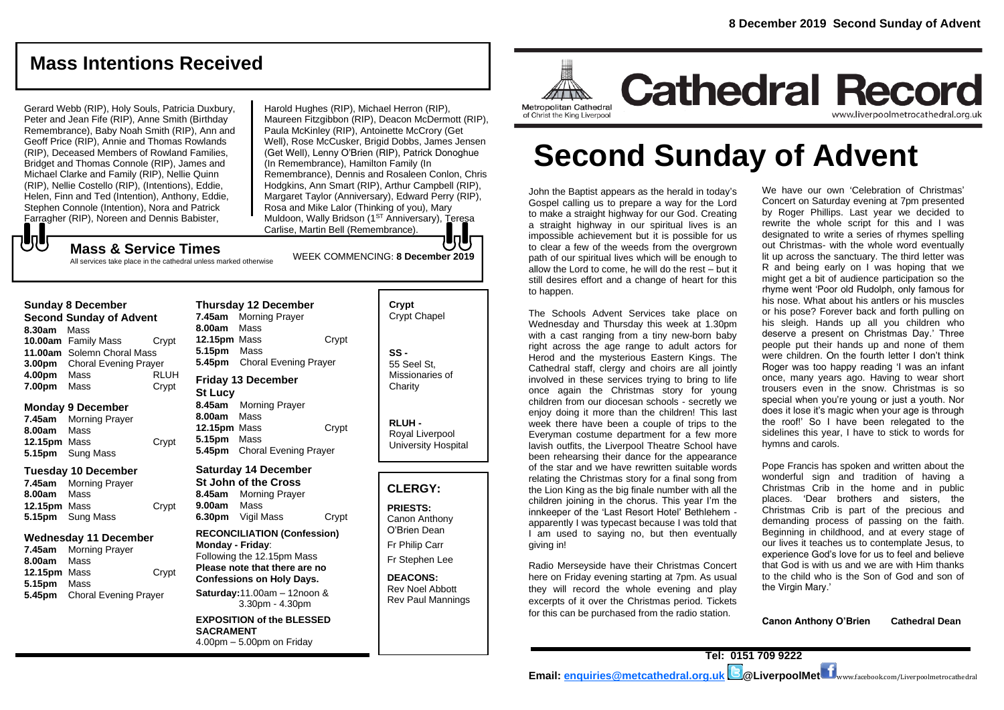www.liverpoolmetrocathedral.org.uk

## **Mass Intentions Received**

Gerard Webb (RIP), Holy Souls, Patricia Duxbury, Peter and Jean Fife (RIP), Anne Smith (Birthday Remembrance), Baby Noah Smith (RIP), Ann and Geoff Price (RIP), Annie and Thomas Rowlands (RIP), Deceased Members of Rowland Families, Bridget and Thomas Connole (RIP), James and Michael Clarke and Family (RIP), Nellie Quinn (RIP), Nellie Costello (RIP), (Intentions), Eddie, Helen, Finn and Ted (Intention), Anthony, Eddie, Stephen Connole (Intention), Nora and Patrick Farragher (RIP), Noreen and Dennis Babister,

Harold Hughes (RIP), Michael Herron (RIP), Maureen Fitzgibbon (RIP), Deacon McDermott (RIP), Paula McKinley (RIP), Antoinette McCrory (Get Well), Rose McCusker, Brigid Dobbs, James Jensen (Get Well), Lenny O'Brien (RIP), Patrick Donoghue (In Remembrance), Hamilton Family (In Remembrance), Dennis and Rosaleen Conlon, Chris Hodgkins, Ann Smart (RIP), Arthur Campbell (RIP), Margaret Taylor (Anniversary), Edward Perry (RIP), Rosa and Mike Lalor (Thinking of you), Mary Muldoon, Wally Bridson (1<sup>ST</sup> Anniversary), Teresa Carlise, Martin Bell (Remembrance).

WEEK COMMENCING: **8 December 2019**

## **Mass & Service Times**

All services take place in the cathedral unless marked otherwise

#### **Sunday 8 December**

もし

**Second Sunday of Advent 8.30am** Mass **10.00am** Family Mass Crypt **11.00am** Solemn Choral Mass **3.00pm** Choral Evening Prayer **4.00pm** Mass RLUH **7.00pm** Mass Crypt

#### **Monday 9 December**

**7.45am** Morning Prayer **8.00am** Mass **12.15pm** Mass Crypt **5.15pm** Sung Mass

#### **Tuesday 10 December**

**7.45am** Morning Prayer **8.00am** Mass **12.15pm** Mass Crypt **5.15pm** Sung Mass

#### **Wednesday 11 December**

**7.45am** Morning Prayer **8.00am** Mass **12.15pm** Mass Crypt **5.15pm** Mass **5.45pm** Choral Evening Prayer

**Thursday 12 December 7.45am** Morning Prayer **8.00am** Mass **12.15pm** Mass Crypt **5.15pm** Mass **5.45pm** Choral Evening Prayer **Friday 13 December St Lucy 8.45am** Morning Prayer **8.00am** Mass

### **12.15pm** Mass Crypt **5.15pm** Mass **5.45pm** Choral Evening Prayer

**Saturday 14 December St John of the Cross 8.45am** Morning Prayer **9.00am** Mass **6.30pm** Vigil Mass Crypt

**RECONCILIATION (Confession) Monday - Friday**: Following the 12.15pm Mass **Please note that there are no Confessions on Holy Days. Saturday:**11.00am – 12noon &

3.30pm - 4.30pm

**EXPOSITION of the BLESSED SACRAMENT** 4.00pm – 5.00pm on Friday

| Crypt<br><b>Crypt Chapel</b>                      |
|---------------------------------------------------|
| SS -<br>55 Seel St.<br>Missionaries of<br>Charity |
| <b>RLUH</b>                                       |

Royal Liverpool University Hospital

### **CLERGY:**

**PRIESTS:** Canon Anthony O'Brien *Dean*

Fr Philip Carr

Fr Stephen Lee

**DEACONS:** Rev Noel Abbott Rev Paul Mannings



# **Second Sunday of Advent**

John the Baptist appears as the herald in today's Gospel calling us to prepare a way for the Lord to make a straight highway for our God. Creating a straight highway in our spiritual lives is an impossible achievement but it is possible for us to clear a few of the weeds from the overgrown path of our spiritual lives which will be enough to allow the Lord to come, he will do the rest – but it still desires effort and a change of heart for this to happen.

The Schools Advent Services take place on Wednesday and Thursday this week at 1.30pm with a cast ranging from a tiny new-born baby right across the age range to adult actors for Herod and the mysterious Eastern Kings. The Cathedral staff, clergy and choirs are all jointly involved in these services trying to bring to life once again the Christmas story for young children from our diocesan schools - secretly we enjoy doing it more than the children! This last week there have been a couple of trips to the Everyman costume department for a few more lavish outfits, the Liverpool Theatre School have been rehearsing their dance for the appearance of the star and we have rewritten suitable words relating the Christmas story for a final song from the Lion King as the big finale number with all the children joining in the chorus. This year I'm the innkeeper of the 'Last Resort Hotel' Bethlehem apparently I was typecast because I was told that I am used to saying no, but then eventually giving in!

Radio Merseyside have their Christmas Concert here on Friday evening starting at 7pm. As usual they will record the whole evening and play excerpts of it over the Christmas period. Tickets for this can be purchased from the radio station.

We have our own 'Celebration of Christmas' Concert on Saturday evening at 7pm presented by Roger Phillips. Last year we decided to rewrite the whole script for this and I was designated to write a series of rhymes spelling out Christmas- with the whole word eventually lit up across the sanctuary. The third letter was R and being early on I was hoping that we might get a bit of audience participation so the rhyme went 'Poor old Rudolph, only famous for his nose. What about his antlers or his muscles or his pose? Forever back and forth pulling on his sleigh. Hands up all you children who deserve a present on Christmas Day.' Three people put their hands up and none of them were children. On the fourth letter I don't think Roger was too happy reading 'I was an infant once, many years ago. Having to wear short trousers even in the snow. Christmas is so special when you're young or just a youth. Nor does it lose it's magic when your age is through the roof!' So I have been relegated to the sidelines this year, I have to stick to words for hymns and carols.

Pope Francis has spoken and written about the wonderful sign and tradition of having a Christmas Crib in the home and in public places. 'Dear brothers and sisters, the Christmas Crib is part of the precious and demanding process of passing on the faith. Beginning in childhood, and at every stage of our lives it teaches us to contemplate Jesus, to experience God's love for us to feel and believe that God is with us and we are with Him thanks to the child who is the Son of God and son of the Virgin Mary.'

**Canon Anthony O'Brien Cathedral Dean**